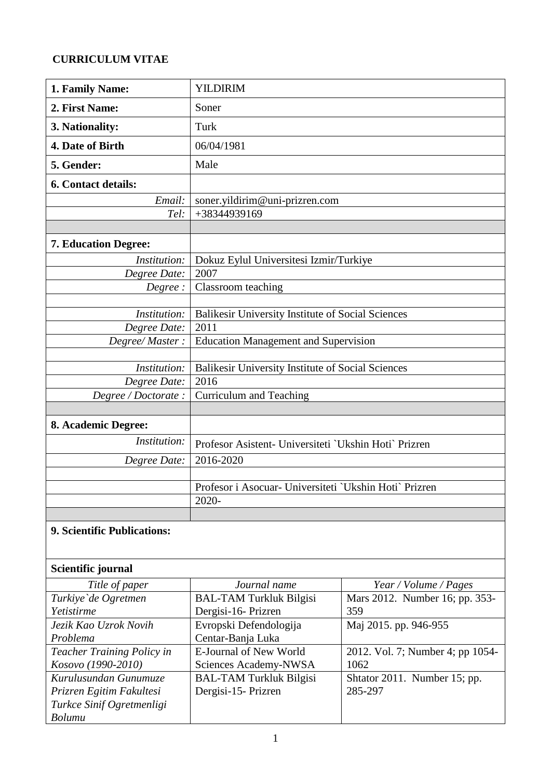## **CURRICULUM VITAE**

| 1. Family Name:             | <b>YILDIRIM</b>                                        |  |  |  |
|-----------------------------|--------------------------------------------------------|--|--|--|
| 2. First Name:              | Soner                                                  |  |  |  |
| 3. Nationality:             | Turk                                                   |  |  |  |
| 4. Date of Birth            | 06/04/1981                                             |  |  |  |
| 5. Gender:                  | Male                                                   |  |  |  |
| <b>6. Contact details:</b>  |                                                        |  |  |  |
| Email:                      | soner.yildirim@uni-prizren.com                         |  |  |  |
| Tel:                        | +38344939169                                           |  |  |  |
|                             |                                                        |  |  |  |
| <b>7. Education Degree:</b> |                                                        |  |  |  |
| Institution:                | Dokuz Eylul Universitesi Izmir/Turkiye                 |  |  |  |
| Degree Date:                | 2007                                                   |  |  |  |
| Degree:                     | Classroom teaching                                     |  |  |  |
|                             |                                                        |  |  |  |
| Institution:                | Balikesir University Institute of Social Sciences      |  |  |  |
| Degree Date:                | 2011                                                   |  |  |  |
| Degree/Master:              | <b>Education Management and Supervision</b>            |  |  |  |
|                             |                                                        |  |  |  |
| Institution:                | Balikesir University Institute of Social Sciences      |  |  |  |
| Degree Date:                | 2016                                                   |  |  |  |
| Degree / Doctorate :        | <b>Curriculum and Teaching</b>                         |  |  |  |
|                             |                                                        |  |  |  |
| 8. Academic Degree:         |                                                        |  |  |  |
| Institution:                | Profesor Asistent- Universiteti `Ukshin Hoti` Prizren  |  |  |  |
| Degree Date:                | 2016-2020                                              |  |  |  |
|                             |                                                        |  |  |  |
|                             | Profesor i Asocuar- Universiteti `Ukshin Hoti` Prizren |  |  |  |
|                             | 2020-                                                  |  |  |  |
|                             |                                                        |  |  |  |

## **9. Scientific Publications:**

## **Scientific journal**

| Title of paper             | Journal name                   | Year / Volume / Pages            |  |
|----------------------------|--------------------------------|----------------------------------|--|
| Turkiye'de Ogretmen        | <b>BAL-TAM Turkluk Bilgisi</b> | Mars 2012. Number 16; pp. 353-   |  |
| Yetistirme                 | Dergisi-16- Prizren            | 359                              |  |
| Jezik Kao Uzrok Novih      | Evropski Defendologija         | Maj 2015. pp. 946-955            |  |
| Problema                   | Centar-Banja Luka              |                                  |  |
| Teacher Training Policy in | E-Journal of New World         | 2012. Vol. 7; Number 4; pp 1054- |  |
| Kosovo (1990-2010)         | Sciences Academy-NWSA          | 1062                             |  |
| Kurulusundan Gunumuze      | <b>BAL-TAM Turkluk Bilgisi</b> | Shtator 2011. Number 15; pp.     |  |
| Prizren Egitim Fakultesi   | Dergisi-15- Prizren            | 285-297                          |  |
| Turkce Sinif Ogretmenligi  |                                |                                  |  |
| <b>Bolumu</b>              |                                |                                  |  |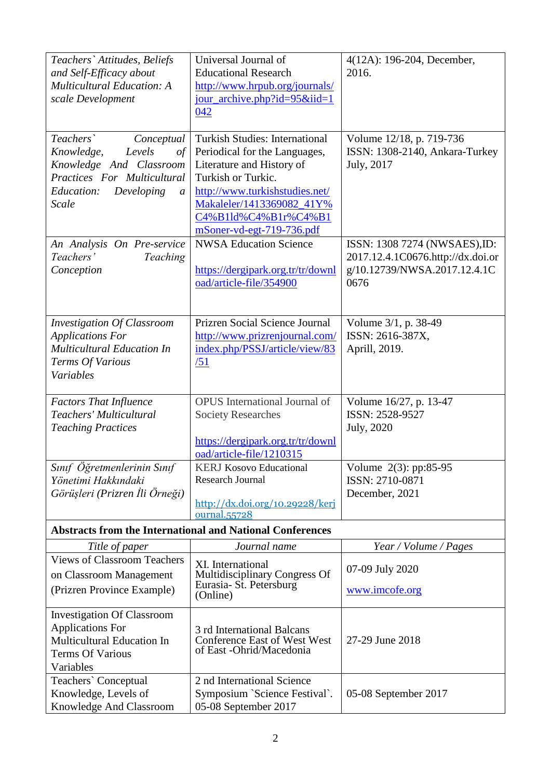| Teachers' Attitudes, Beliefs<br>and Self-Efficacy about<br><b>Multicultural Education: A</b><br>scale Development                                                     | Universal Journal of<br><b>Educational Research</b><br>http://www.hrpub.org/journals/<br>jour_archive.php?id= $95\&$ iid= $1$<br>042                                                                                                          | 4(12A): 196-204, December,<br>2016.                                                                        |  |
|-----------------------------------------------------------------------------------------------------------------------------------------------------------------------|-----------------------------------------------------------------------------------------------------------------------------------------------------------------------------------------------------------------------------------------------|------------------------------------------------------------------------------------------------------------|--|
| Teachers`<br>Conceptual<br>Knowledge,<br>Levels<br>of<br>Knowledge And Classroom<br>Practices For Multicultural<br>Education:<br>Developing<br>$\mathfrak a$<br>Scale | <b>Turkish Studies: International</b><br>Periodical for the Languages,<br>Literature and History of<br>Turkish or Turkic.<br>http://www.turkishstudies.net/<br>Makaleler/1413369082_41Y%<br>C4%B1ld%C4%B1r%C4%B1<br>mSoner-vd-egt-719-736.pdf | Volume 12/18, p. 719-736<br>ISSN: 1308-2140, Ankara-Turkey<br>July, 2017                                   |  |
| An Analysis On Pre-service<br>Teachers'<br>Teaching<br>Conception                                                                                                     | <b>NWSA Education Science</b><br>https://dergipark.org.tr/tr/downl<br>oad/article-file/354900                                                                                                                                                 | ISSN: 1308 7274 (NWSAES), ID:<br>2017.12.4.1C0676.http://dx.doi.or<br>g/10.12739/NWSA.2017.12.4.1C<br>0676 |  |
| <b>Investigation Of Classroom</b><br><b>Applications For</b><br><b>Multicultural Education In</b><br>Terms Of Various<br>Variables                                    | Prizren Social Science Journal<br>http://www.prizrenjournal.com/<br>index.php/PSSJ/article/view/83<br>/51                                                                                                                                     | Volume 3/1, p. 38-49<br>ISSN: 2616-387X,<br>Aprill, 2019.                                                  |  |
| <b>Factors That Influence</b><br>Teachers' Multicultural<br><b>Teaching Practices</b>                                                                                 | <b>OPUS</b> International Journal of<br><b>Society Researches</b><br>https://dergipark.org.tr/tr/downl<br>oad/article-file/1210315                                                                                                            | Volume 16/27, p. 13-47<br>ISSN: 2528-9527<br><b>July</b> , 2020                                            |  |
| Sınıf Öğretmenlerinin Sınıf<br>Yönetimi Hakkındaki<br>Görüşleri (Prizren İli Örneği)                                                                                  | <b>KERJ Kosovo Educational</b><br><b>Research Journal</b><br>$\frac{\text{http://dx.doi.org/10.29228/kerj}}{$<br>ournal.55728                                                                                                                 | Volume 2(3): pp:85-95<br>ISSN: 2710-0871<br>December, 2021                                                 |  |
|                                                                                                                                                                       | <b>Abstracts from the International and National Conferences</b>                                                                                                                                                                              |                                                                                                            |  |
| Title of paper<br><b>Views of Classroom Teachers</b><br>on Classroom Management<br>(Prizren Province Example)                                                         | Journal name<br>XI. International<br>Multidisciplinary Congress Of<br>Eurasia- St. Petersburg<br>(Online)                                                                                                                                     | Year / Volume / Pages<br>07-09 July 2020<br>www.imcofe.org                                                 |  |
| <b>Investigation Of Classroom</b><br><b>Applications For</b><br>Multicultural Education In<br><b>Terms Of Various</b><br>Variables                                    | 3 rd International Balcans<br><b>Conference East of West West</b><br>of East -Ohrid/Macedonia                                                                                                                                                 | 27-29 June 2018                                                                                            |  |
| Teachers' Conceptual<br>Knowledge, Levels of<br>Knowledge And Classroom                                                                                               | 2 nd International Science<br>Symposium `Science Festival`.<br>05-08 September 2017<br>05-08 September 2017                                                                                                                                   |                                                                                                            |  |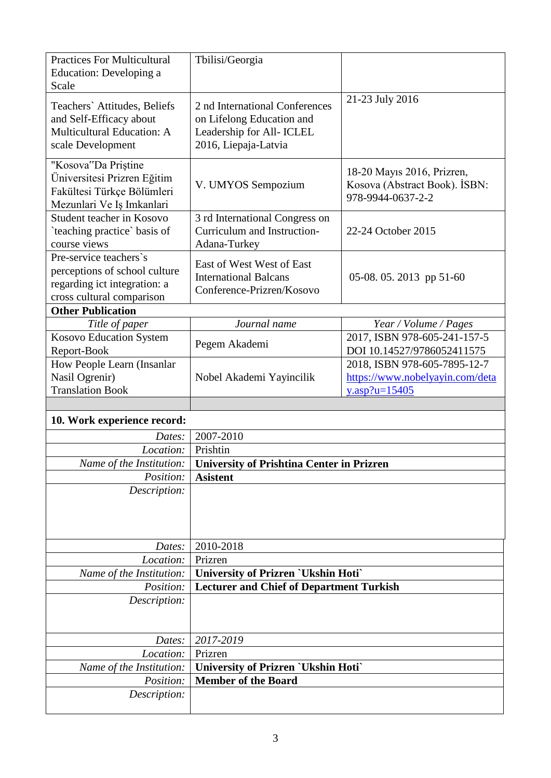| <b>Practices For Multicultural</b>                     | Tbilisi/Georgia                                               |                                                             |  |
|--------------------------------------------------------|---------------------------------------------------------------|-------------------------------------------------------------|--|
| Education: Developing a                                |                                                               |                                                             |  |
| Scale                                                  |                                                               |                                                             |  |
| Teachers' Attitudes, Beliefs                           | 21-23 July 2016<br>2 nd International Conferences             |                                                             |  |
| and Self-Efficacy about                                | on Lifelong Education and                                     |                                                             |  |
| Multicultural Education: A                             | Leadership for All- ICLEL                                     |                                                             |  |
| scale Development                                      | 2016, Liepaja-Latvia                                          |                                                             |  |
| "Kosova"Da Priștine                                    |                                                               | 18-20 Mayıs 2016, Prizren,<br>Kosova (Abstract Book). ISBN: |  |
| Üniversitesi Prizren Eğitim                            | V. UMYOS Sempozium                                            |                                                             |  |
| Fakültesi Türkçe Bölümleri                             |                                                               | 978-9944-0637-2-2                                           |  |
| Mezunlari Ve Iş Imkanlari<br>Student teacher in Kosovo |                                                               |                                                             |  |
| `teaching practice` basis of                           | 3 rd International Congress on<br>Curriculum and Instruction- | 22-24 October 2015                                          |  |
| course views                                           | Adana-Turkey                                                  |                                                             |  |
| Pre-service teachers's                                 |                                                               |                                                             |  |
| perceptions of school culture                          | East of West West of East<br><b>International Balcans</b>     | 05-08.05.2013 pp 51-60                                      |  |
| regarding ict integration: a                           | Conference-Prizren/Kosovo                                     |                                                             |  |
| cross cultural comparison                              |                                                               |                                                             |  |
| <b>Other Publication</b>                               |                                                               |                                                             |  |
| Title of paper                                         | Journal name                                                  | Year / Volume / Pages                                       |  |
| Kosovo Education System<br>Report-Book                 | Pegem Akademi                                                 | 2017, ISBN 978-605-241-157-5<br>DOI 10.14527/9786052411575  |  |
| How People Learn (Insanlar                             |                                                               | 2018, ISBN 978-605-7895-12-7                                |  |
| Nasil Ogrenir)                                         | Nobel Akademi Yayincilik                                      | https://www.nobelyayin.com/deta                             |  |
| <b>Translation Book</b>                                |                                                               | y.asp?u= $15405$                                            |  |
|                                                        |                                                               |                                                             |  |
|                                                        |                                                               |                                                             |  |
| 10. Work experience record:                            |                                                               |                                                             |  |
| Dates:                                                 | 2007-2010                                                     |                                                             |  |
| Location:                                              | Prishtin                                                      |                                                             |  |
| Name of the Institution:                               | <b>University of Prishtina Center in Prizren</b>              |                                                             |  |
| Position:                                              | <b>Asistent</b>                                               |                                                             |  |
| Description:                                           |                                                               |                                                             |  |
|                                                        |                                                               |                                                             |  |
|                                                        |                                                               |                                                             |  |
|                                                        | 2010-2018                                                     |                                                             |  |
| Dates:<br>Location:                                    | Prizren                                                       |                                                             |  |
| Name of the Institution:                               | <b>University of Prizren `Ukshin Hoti`</b>                    |                                                             |  |
| Position:                                              | <b>Lecturer and Chief of Department Turkish</b>               |                                                             |  |
| Description:                                           |                                                               |                                                             |  |
|                                                        |                                                               |                                                             |  |
|                                                        |                                                               |                                                             |  |
| Dates:<br>Location:                                    | 2017-2019<br>Prizren                                          |                                                             |  |
| Name of the Institution:                               | <b>University of Prizren `Ukshin Hoti`</b>                    |                                                             |  |
| Position:                                              | <b>Member of the Board</b>                                    |                                                             |  |
| Description:                                           |                                                               |                                                             |  |